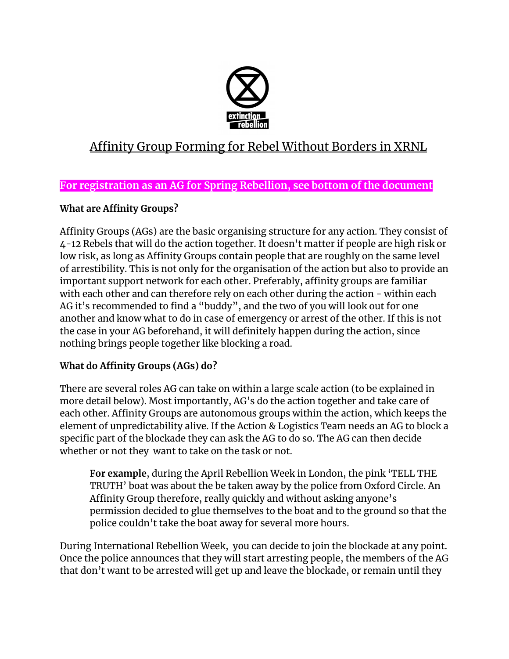

# Affinity Group Forming for Rebel Without Borders in XRNL

## **For registration as an AG for Spring Rebellion, see bottom of the document**

## **What are Affinity Groups?**

Affinity Groups (AGs) are the basic organising structure for any action. They consist of 4-12 Rebels that will do the action together. It doesn't matter if people are high risk or low risk, as long as Affinity Groups contain people that are roughly on the same level of arrestibility. This is not only for the organisation of the action but also to provide an important support network for each other. Preferably, affinity groups are familiar with each other and can therefore rely on each other during the action - within each AG it's recommended to find a "buddy", and the two of you will look out for one another and know what to do in case of emergency or arrest of the other. If this is not the case in your AG beforehand, it will definitely happen during the action, since nothing brings people together like blocking a road.

#### **What do Affinity Groups (AGs) do?**

There are several roles AG can take on within a large scale action (to be explained in more detail below). Most importantly, AG's do the action together and take care of each other. Affinity Groups are autonomous groups within the action, which keeps the element of unpredictability alive. If the Action & Logistics Team needs an AG to block a specific part of the blockade they can ask the AG to do so. The AG can then decide whether or not they want to take on the task or not.

**For example**, during the April Rebellion Week in London, the pink 'TELL THE TRUTH' boat was about the be taken away by the police from Oxford Circle. An Affinity Group therefore, really quickly and without asking anyone's permission decided to glue themselves to the boat and to the ground so that the police couldn't take the boat away for several more hours.

During International Rebellion Week, you can decide to join the blockade at any point. Once the police announces that they will start arresting people, the members of the AG that don't want to be arrested will get up and leave the blockade, or remain until they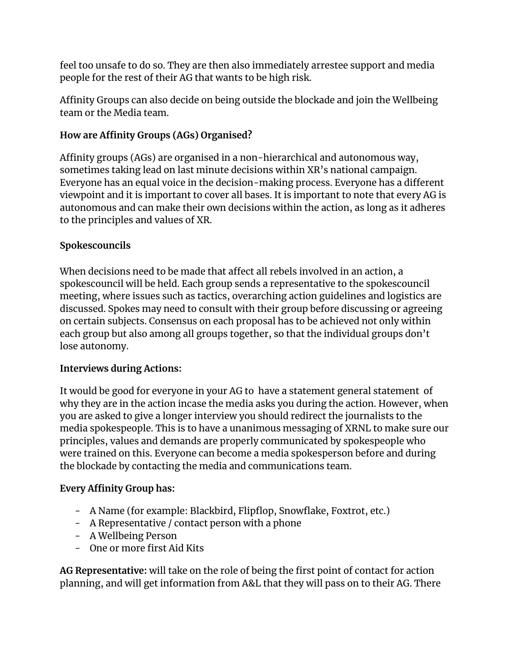feel too unsafe to do so. They are then also immediately arrestee support and media people for the rest of their AG that wants to be high risk.

Affinity Groups can also decide on being outside the blockade and join the Wellbeing team or the Media team.

#### **How are Affinity Groups (AGs) Organised?**

Affinity groups (AGs) are organised in a non-hierarchical and autonomous way, sometimes taking lead on last minute decisions within XR's national campaign. Everyone has an equal voice in the decision-making process. Everyone has a different viewpoint and it is important to cover all bases. It is important to note that every AG is autonomous and can make their own decisions within the action, as long as it adheres to the principles and values of XR.

#### **Spokescouncils**

When decisions need to be made that affect all rebels involved in an action, a spokescouncil will be held. Each group sends a representative to the spokescouncil meeting, where issues such as tactics, overarching action guidelines and logistics are discussed. Spokes may need to consult with their group before discussing or agreeing on certain subjects. Consensus on each proposal has to be achieved not only within each group but also among all groups together, so that the individual groups don't lose autonomy.

#### **Interviews during Actions:**

It would be good for everyone in your AG to have a statement general statement of why they are in the action incase the media asks you during the action. However, when you are asked to give a longer interview you should redirect the journalists to the media spokespeople. This is to have a unanimous messaging of XRNL to make sure our principles, values and demands are properly communicated by spokespeople who were trained on this. Everyone can become a media spokesperson before and during the blockade by contacting the media and communications team.

#### **Every Affinity Group has:**

- A Name (for example: Blackbird, Flipflop, Snowflake, Foxtrot, etc.)
- A Representative / contact person with a phone
- A Wellbeing Person
- One or more first Aid Kits

**AG Representative:** will take on the role of being the first point of contact for action planning, and will get information from A&L that they will pass on to their AG. There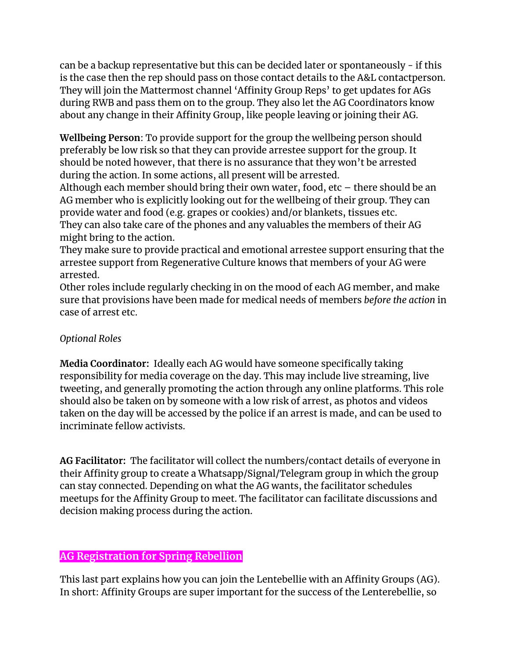can be a backup representative but this can be decided later or spontaneously - if this is the case then the rep should pass on those contact details to the A&L contactperson. They will join the Mattermost channel 'Affinity Group Reps' to get updates for AGs during RWB and pass them on to the group. They also let the AG Coordinators know about any change in their Affinity Group, like people leaving or joining their AG.

**Wellbeing Person**: To provide support for the group the wellbeing person should preferably be low risk so that they can provide arrestee support for the group. It should be noted however, that there is no assurance that they won't be arrested during the action. In some actions, all present will be arrested.

Although each member should bring their own water, food, etc – there should be an AG member who is explicitly looking out for the wellbeing of their group. They can provide water and food (e.g. grapes or cookies) and/or blankets, tissues etc. They can also take care of the phones and any valuables the members of their AG might bring to the action.

They make sure to provide practical and emotional arrestee support ensuring that the arrestee support from Regenerative Culture knows that members of your AG were arrested.

Other roles include regularly checking in on the mood of each AG member, and make sure that provisions have been made for medical needs of members *before the action* in case of arrest etc.

#### *Optional Roles*

**Media Coordinator:** Ideally each AG would have someone specifically taking responsibility for media coverage on the day. This may include live streaming, live tweeting, and generally promoting the action through any online platforms. This role should also be taken on by someone with a low risk of arrest, as photos and videos taken on the day will be accessed by the police if an arrest is made, and can be used to incriminate fellow activists.

**AG Facilitator:** The facilitator will collect the numbers/contact details of everyone in their Affinity group to create a Whatsapp/Signal/Telegram group in which the group can stay connected. Depending on what the AG wants, the facilitator schedules meetups for the Affinity Group to meet. The facilitator can facilitate discussions and decision making process during the action.

#### **AG Registration for Spring Rebellion**

This last part explains how you can join the Lentebellie with an Affinity Groups (AG). In short: Affinity Groups are super important for the success of the Lenterebellie, so